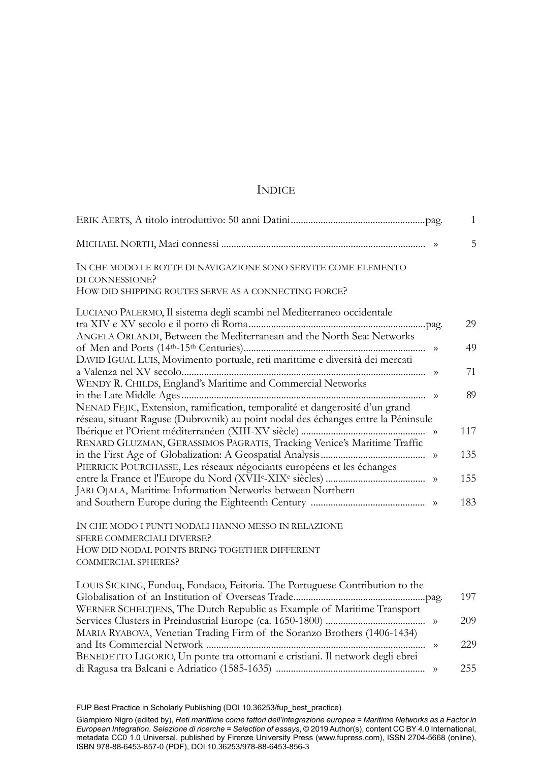## **INDICE**

|                                                                                                                                                                         |           | $\mathbf{1}$ |
|-------------------------------------------------------------------------------------------------------------------------------------------------------------------------|-----------|--------------|
|                                                                                                                                                                         |           | 5            |
| IN CHE MODO LE ROTTE DI NAVIGAZIONE SONO SERVITE COME ELEMENTO<br>DI CONNESSIONE?<br>HOW DID SHIPPING ROUTES SERVE AS A CONNECTING FORCE?                               |           |              |
| LUCIANO PALERMO, Il sistema degli scambi nel Mediterraneo occidentale                                                                                                   |           |              |
| ANGELA ORLANDI, Between the Mediterranean and the North Sea: Networks                                                                                                   |           | 29           |
| DAVID IGUAL LUIS, Movimento portuale, reti marittime e diversità dei mercati                                                                                            |           | 49           |
| WENDY R. CHILDS, England's Maritime and Commercial Networks                                                                                                             |           | 71           |
| NENAD FEJIC, Extension, ramification, temporalité et dangerosité d'un grand<br>réseau, situant Raguse (Dubrovnik) au point nodal des échanges entre la Péninsule        |           | 89           |
| RENARD GLUZMAN, GERASSIMOS PAGRATIS, Tracking Venice's Maritime Traffic                                                                                                 |           | 117          |
| PIERRICK POURCHASSE, Les réseaux négociants européens et les échanges                                                                                                   |           | 135          |
| JARI OJALA, Maritime Information Networks between Northern                                                                                                              |           | 155          |
|                                                                                                                                                                         |           | 183          |
| IN CHE MODO I PUNTI NODALI HANNO MESSO IN RELAZIONE<br><b>SFERE COMMERCIALI DIVERSE?</b><br>HOW DID NODAL POINTS BRING TOGETHER DIFFERENT<br><b>COMMERCIAL SPHERES?</b> |           |              |
| LOUIS SICKING, Funduq, Fondaco, Feitoria. The Portuguese Contribution to the<br>WERNER SCHELTJENS, The Dutch Republic as Example of Maritime Transport                  |           | 197          |
| MARIA RYABOVA, Venetian Trading Firm of the Soranzo Brothers (1406-1434)                                                                                                |           | 209          |
| BENEDETTO LIGORIO, Un ponte tra ottomani e cristiani. Il network degli ebrei                                                                                            | $\rangle$ | 229          |
|                                                                                                                                                                         |           | 255          |

FUP Best Practice in Scholarly Publishing (DOI [10.36253/fup\\_best\\_practice\)](https://doi.org/10.36253/fup_best_practice)

Giampiero Nigro (edited by), *Reti marittime come fattori dell'integrazione europea = Maritime Networks as a Factor in European Integration. Selezione di ricerche* = S*election of* essays, © 2019 Author(s), content [CC BY 4.0 International](http://creativecommons.org/licenses/by/4.0/legalcode),<br>metadata [CC0 1.0 Universal,](https://creativecommons.org/publicdomain/zero/1.0/legalcode) published by Firenze University Press (www.fupress.com), ISSN 2704-5668 ISBN 978-88-6453-857-0 (PDF), DOI [10.36253/978-88-6453-856-3](https://doi.org/10.36253/978-88-6453-856-3)